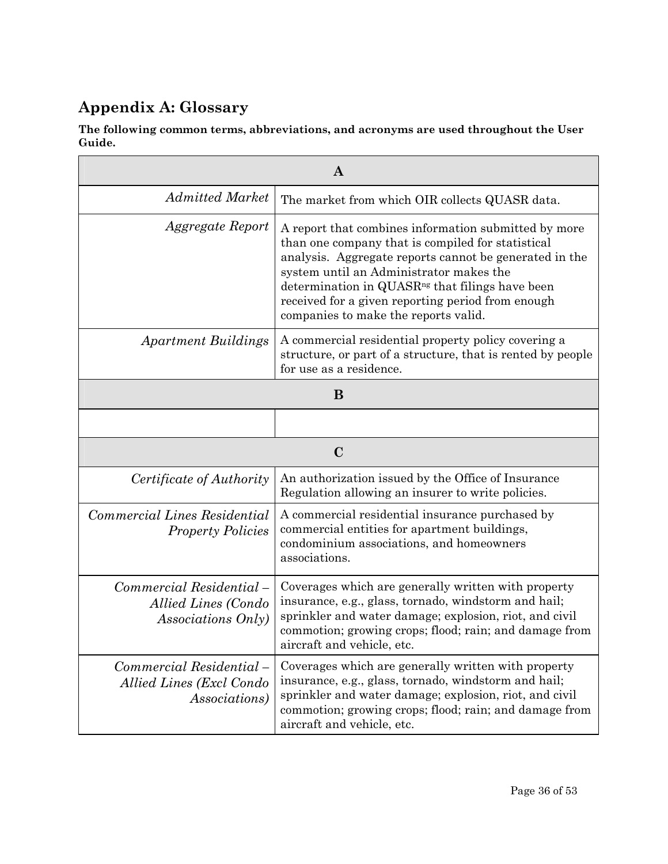## **Appendix A: Glossary**

**The following common terms, abbreviations, and acronyms are used throughout the User Guide.** 

| $\bf{A}$                                                                     |                                                                                                                                                                                                                                                                                                                                                                            |  |
|------------------------------------------------------------------------------|----------------------------------------------------------------------------------------------------------------------------------------------------------------------------------------------------------------------------------------------------------------------------------------------------------------------------------------------------------------------------|--|
| <b>Admitted Market</b>                                                       | The market from which OIR collects QUASR data.                                                                                                                                                                                                                                                                                                                             |  |
| Aggregate Report                                                             | A report that combines information submitted by more<br>than one company that is compiled for statistical<br>analysis. Aggregate reports cannot be generated in the<br>system until an Administrator makes the<br>determination in QUASR <sup>ng</sup> that filings have been<br>received for a given reporting period from enough<br>companies to make the reports valid. |  |
| <b>Apartment Buildings</b>                                                   | A commercial residential property policy covering a<br>structure, or part of a structure, that is rented by people<br>for use as a residence.                                                                                                                                                                                                                              |  |
| B                                                                            |                                                                                                                                                                                                                                                                                                                                                                            |  |
|                                                                              |                                                                                                                                                                                                                                                                                                                                                                            |  |
| $\mathbf C$                                                                  |                                                                                                                                                                                                                                                                                                                                                                            |  |
| Certificate of Authority                                                     | An authorization issued by the Office of Insurance<br>Regulation allowing an insurer to write policies.                                                                                                                                                                                                                                                                    |  |
| Commercial Lines Residential<br><b>Property Policies</b>                     | A commercial residential insurance purchased by<br>commercial entities for apartment buildings,<br>condominium associations, and homeowners<br>associations.                                                                                                                                                                                                               |  |
| Commercial Residential-<br>Allied Lines (Condo<br>Associations Only)         | Coverages which are generally written with property<br>insurance, e.g., glass, tornado, windstorm and hail;<br>sprinkler and water damage; explosion, riot, and civil<br>commotion; growing crops; flood; rain; and damage from<br>aircraft and vehicle, etc.                                                                                                              |  |
| Commercial Residential-<br>Allied Lines (Excl Condo<br><i>Associations</i> ) | Coverages which are generally written with property<br>insurance, e.g., glass, tornado, windstorm and hail;<br>sprinkler and water damage; explosion, riot, and civil<br>commotion; growing crops; flood; rain; and damage from<br>aircraft and vehicle, etc.                                                                                                              |  |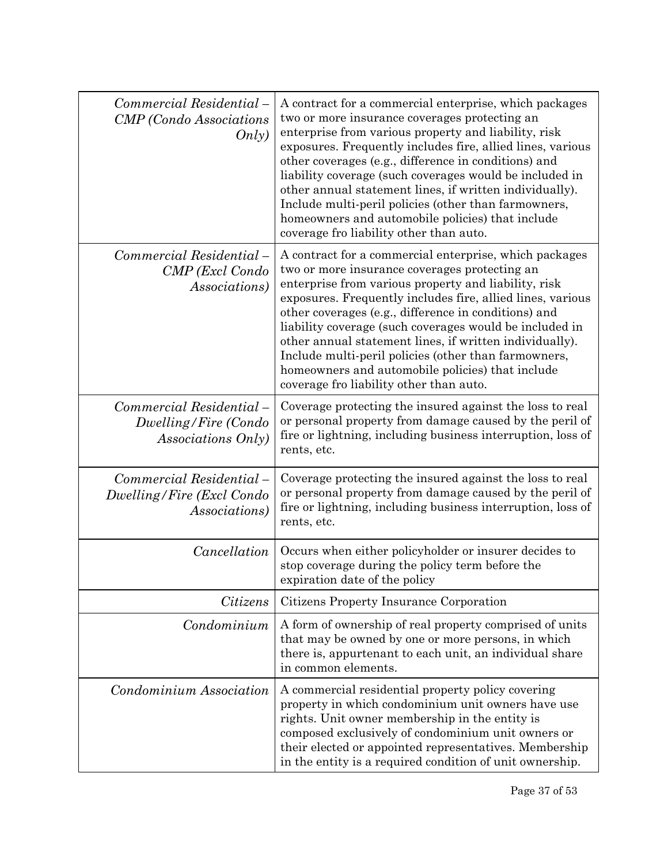| Commercial Residential-<br><b>CMP</b> (Condo Associations<br>Only)            | A contract for a commercial enterprise, which packages<br>two or more insurance coverages protecting an<br>enterprise from various property and liability, risk<br>exposures. Frequently includes fire, allied lines, various<br>other coverages (e.g., difference in conditions) and<br>liability coverage (such coverages would be included in<br>other annual statement lines, if written individually).<br>Include multi-peril policies (other than farmowners,<br>homeowners and automobile policies) that include<br>coverage fro liability other than auto. |  |
|-------------------------------------------------------------------------------|--------------------------------------------------------------------------------------------------------------------------------------------------------------------------------------------------------------------------------------------------------------------------------------------------------------------------------------------------------------------------------------------------------------------------------------------------------------------------------------------------------------------------------------------------------------------|--|
| Commercial Residential –<br>CMP (Excl Condo<br><i>Associations</i> )          | A contract for a commercial enterprise, which packages<br>two or more insurance coverages protecting an<br>enterprise from various property and liability, risk<br>exposures. Frequently includes fire, allied lines, various<br>other coverages (e.g., difference in conditions) and<br>liability coverage (such coverages would be included in<br>other annual statement lines, if written individually).<br>Include multi-peril policies (other than farmowners,<br>homeowners and automobile policies) that include<br>coverage fro liability other than auto. |  |
| Commercial Residential-<br>Dwelling/Fire (Condo<br>Associations Only)         | Coverage protecting the insured against the loss to real<br>or personal property from damage caused by the peril of<br>fire or lightning, including business interruption, loss of<br>rents, etc.                                                                                                                                                                                                                                                                                                                                                                  |  |
| Commercial Residential-<br>Dwelling/Fire (Excl Condo<br><i>Associations</i> ) | Coverage protecting the insured against the loss to real<br>or personal property from damage caused by the peril of<br>fire or lightning, including business interruption, loss of<br>rents, etc.                                                                                                                                                                                                                                                                                                                                                                  |  |
| Cancellation                                                                  | Occurs when either policyholder or insurer decides to<br>stop coverage during the policy term before the<br>expiration date of the policy                                                                                                                                                                                                                                                                                                                                                                                                                          |  |
| Citizens                                                                      | Citizens Property Insurance Corporation                                                                                                                                                                                                                                                                                                                                                                                                                                                                                                                            |  |
| Condominium                                                                   | A form of ownership of real property comprised of units<br>that may be owned by one or more persons, in which<br>there is, appurtenant to each unit, an individual share<br>in common elements.                                                                                                                                                                                                                                                                                                                                                                    |  |
| Condominium Association                                                       | A commercial residential property policy covering<br>property in which condominium unit owners have use<br>rights. Unit owner membership in the entity is<br>composed exclusively of condominium unit owners or<br>their elected or appointed representatives. Membership<br>in the entity is a required condition of unit ownership.                                                                                                                                                                                                                              |  |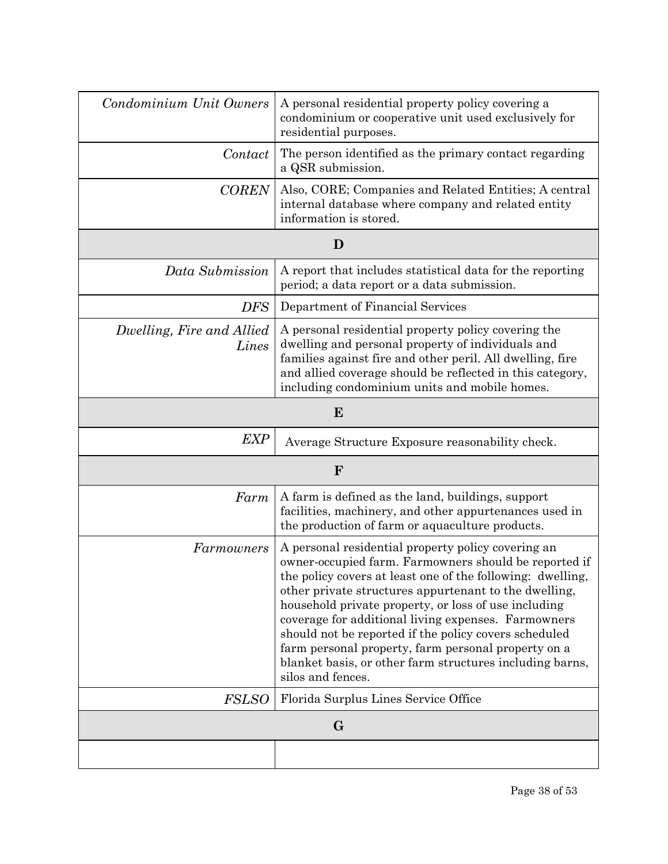| Condominium Unit Owners            | A personal residential property policy covering a<br>condominium or cooperative unit used exclusively for<br>residential purposes.                                                                                                                                                                                                                                                                                                                                                                                                                 |  |
|------------------------------------|----------------------------------------------------------------------------------------------------------------------------------------------------------------------------------------------------------------------------------------------------------------------------------------------------------------------------------------------------------------------------------------------------------------------------------------------------------------------------------------------------------------------------------------------------|--|
| Contact                            | The person identified as the primary contact regarding<br>a QSR submission.                                                                                                                                                                                                                                                                                                                                                                                                                                                                        |  |
| <b>COREN</b>                       | Also, CORE; Companies and Related Entities; A central<br>internal database where company and related entity<br>information is stored.                                                                                                                                                                                                                                                                                                                                                                                                              |  |
|                                    | D                                                                                                                                                                                                                                                                                                                                                                                                                                                                                                                                                  |  |
| Data Submission                    | A report that includes statistical data for the reporting<br>period; a data report or a data submission.                                                                                                                                                                                                                                                                                                                                                                                                                                           |  |
| <b>DFS</b>                         | Department of Financial Services                                                                                                                                                                                                                                                                                                                                                                                                                                                                                                                   |  |
| Dwelling, Fire and Allied<br>Lines | A personal residential property policy covering the<br>dwelling and personal property of individuals and<br>families against fire and other peril. All dwelling, fire<br>and allied coverage should be reflected in this category,<br>including condominium units and mobile homes.                                                                                                                                                                                                                                                                |  |
| E                                  |                                                                                                                                                                                                                                                                                                                                                                                                                                                                                                                                                    |  |
| <b>EXP</b>                         | Average Structure Exposure reasonability check.                                                                                                                                                                                                                                                                                                                                                                                                                                                                                                    |  |
| $\mathbf{F}$                       |                                                                                                                                                                                                                                                                                                                                                                                                                                                                                                                                                    |  |
| Farm                               | A farm is defined as the land, buildings, support<br>facilities, machinery, and other appurtenances used in<br>the production of farm or aquaculture products.                                                                                                                                                                                                                                                                                                                                                                                     |  |
| Farmowners                         | A personal residential property policy covering an<br>owner-occupied farm. Farmowners should be reported if<br>the policy covers at least one of the following: dwelling.<br>other private structures appurtenant to the dwelling,<br>household private property, or loss of use including<br>coverage for additional living expenses. Farmowners<br>should not be reported if the policy covers scheduled<br>farm personal property, farm personal property on a<br>blanket basis, or other farm structures including barns,<br>silos and fences. |  |
| <b>FSLSO</b>                       | Florida Surplus Lines Service Office                                                                                                                                                                                                                                                                                                                                                                                                                                                                                                               |  |
| $\mathbf{G}$                       |                                                                                                                                                                                                                                                                                                                                                                                                                                                                                                                                                    |  |
|                                    |                                                                                                                                                                                                                                                                                                                                                                                                                                                                                                                                                    |  |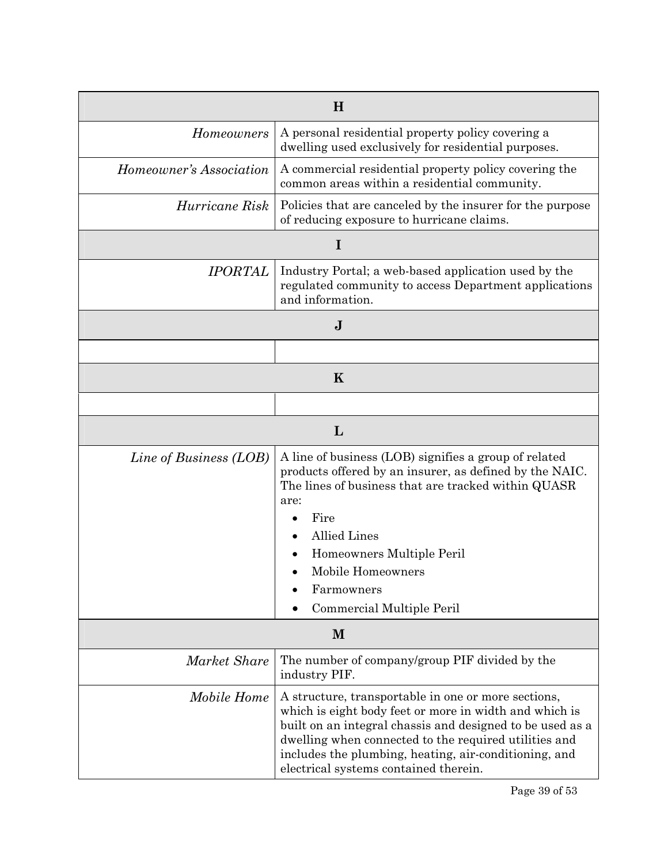| H                       |                                                                                                                                                                                                                                                                                                                                       |  |
|-------------------------|---------------------------------------------------------------------------------------------------------------------------------------------------------------------------------------------------------------------------------------------------------------------------------------------------------------------------------------|--|
| <b>Homeowners</b>       | A personal residential property policy covering a<br>dwelling used exclusively for residential purposes.                                                                                                                                                                                                                              |  |
| Homeowner's Association | A commercial residential property policy covering the<br>common areas within a residential community.                                                                                                                                                                                                                                 |  |
| Hurricane Risk          | Policies that are canceled by the insurer for the purpose<br>of reducing exposure to hurricane claims.                                                                                                                                                                                                                                |  |
|                         | I                                                                                                                                                                                                                                                                                                                                     |  |
| <b>IPORTAL</b>          | Industry Portal; a web-based application used by the<br>regulated community to access Department applications<br>and information.                                                                                                                                                                                                     |  |
| $\mathbf J$             |                                                                                                                                                                                                                                                                                                                                       |  |
|                         |                                                                                                                                                                                                                                                                                                                                       |  |
| $\bf K$                 |                                                                                                                                                                                                                                                                                                                                       |  |
|                         |                                                                                                                                                                                                                                                                                                                                       |  |
|                         | L                                                                                                                                                                                                                                                                                                                                     |  |
| Line of Business (LOB)  | A line of business (LOB) signifies a group of related<br>products offered by an insurer, as defined by the NAIC.<br>The lines of business that are tracked within QUASR<br>are:<br>Fire<br><b>Allied Lines</b><br>Homeowners Multiple Peril<br>Mobile Homeowners<br>Farmowners<br>Commercial Multiple Peril                           |  |
| M                       |                                                                                                                                                                                                                                                                                                                                       |  |
| Market Share            | The number of company/group PIF divided by the<br>industry PIF.                                                                                                                                                                                                                                                                       |  |
| Mobile Home             | A structure, transportable in one or more sections,<br>which is eight body feet or more in width and which is<br>built on an integral chassis and designed to be used as a<br>dwelling when connected to the required utilities and<br>includes the plumbing, heating, air-conditioning, and<br>electrical systems contained therein. |  |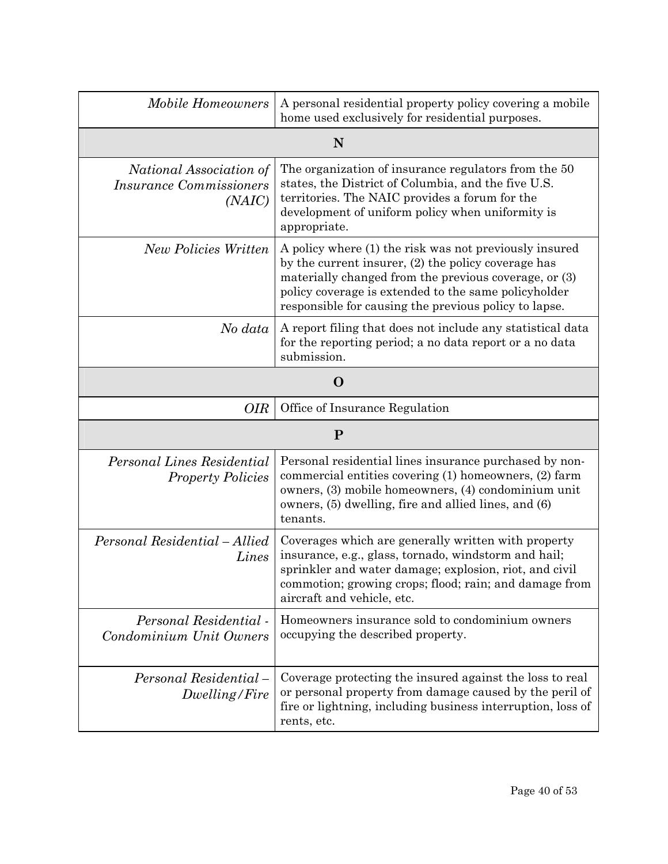| <b>Mobile Homeowners</b>                                                   | A personal residential property policy covering a mobile<br>home used exclusively for residential purposes.                                                                                                                                                                             |  |
|----------------------------------------------------------------------------|-----------------------------------------------------------------------------------------------------------------------------------------------------------------------------------------------------------------------------------------------------------------------------------------|--|
|                                                                            | N                                                                                                                                                                                                                                                                                       |  |
| National Association of<br><i><b>Insurance Commissioners</b></i><br>(NAIC) | The organization of insurance regulators from the 50<br>states, the District of Columbia, and the five U.S.<br>territories. The NAIC provides a forum for the<br>development of uniform policy when uniformity is<br>appropriate.                                                       |  |
| <b>New Policies Written</b>                                                | A policy where (1) the risk was not previously insured<br>by the current insurer, (2) the policy coverage has<br>materially changed from the previous coverage, or (3)<br>policy coverage is extended to the same policyholder<br>responsible for causing the previous policy to lapse. |  |
| No data                                                                    | A report filing that does not include any statistical data<br>for the reporting period; a no data report or a no data<br>submission.                                                                                                                                                    |  |
| $\mathbf 0$                                                                |                                                                                                                                                                                                                                                                                         |  |
| Office of Insurance Regulation<br><b>OIR</b>                               |                                                                                                                                                                                                                                                                                         |  |
| ${\bf P}$                                                                  |                                                                                                                                                                                                                                                                                         |  |
| Personal Lines Residential<br><b>Property Policies</b>                     | Personal residential lines insurance purchased by non-<br>commercial entities covering (1) homeowners, (2) farm<br>owners, (3) mobile homeowners, (4) condominium unit<br>owners, (5) dwelling, fire and allied lines, and (6)<br>tenants.                                              |  |
| Personal Residential - Allied<br>Lines                                     | Coverages which are generally written with property<br>insurance, e.g., glass, tornado, windstorm and hail;<br>sprinkler and water damage; explosion, riot, and civil<br>commotion; growing crops; flood; rain; and damage from<br>aircraft and vehicle, etc.                           |  |
| Personal Residential -<br>Condominium Unit Owners                          | Homeowners insurance sold to condominium owners<br>occupying the described property.                                                                                                                                                                                                    |  |
| Personal Residential-<br>Dwelling/Fire                                     | Coverage protecting the insured against the loss to real<br>or personal property from damage caused by the peril of<br>fire or lightning, including business interruption, loss of<br>rents, etc.                                                                                       |  |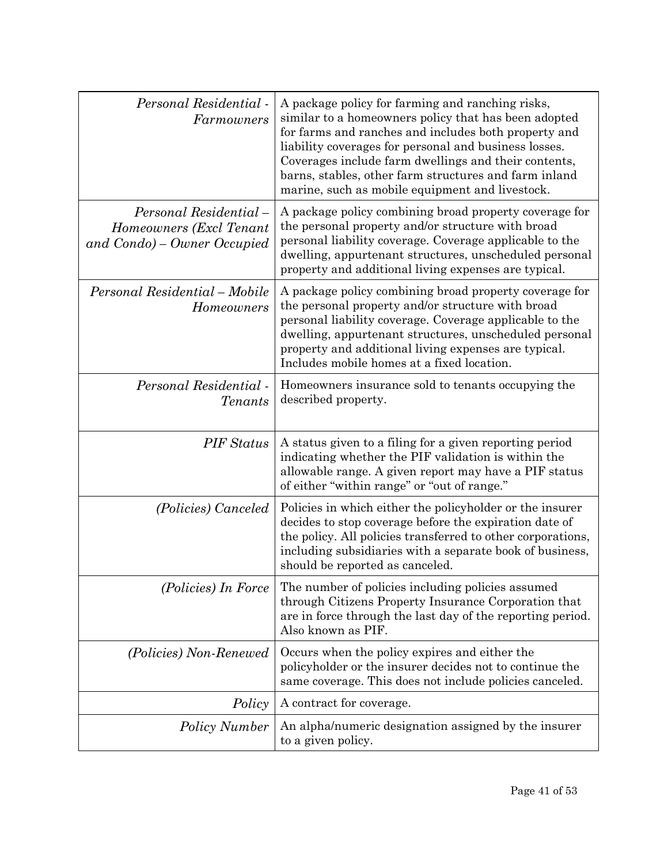| Personal Residential -<br>Farmowners                                            | A package policy for farming and ranching risks,<br>similar to a homeowners policy that has been adopted<br>for farms and ranches and includes both property and<br>liability coverages for personal and business losses.<br>Coverages include farm dwellings and their contents,<br>barns, stables, other farm structures and farm inland<br>marine, such as mobile equipment and livestock. |
|---------------------------------------------------------------------------------|-----------------------------------------------------------------------------------------------------------------------------------------------------------------------------------------------------------------------------------------------------------------------------------------------------------------------------------------------------------------------------------------------|
| Personal Residential-<br>Homeowners (Excl Tenant<br>and Condo) – Owner Occupied | A package policy combining broad property coverage for<br>the personal property and/or structure with broad<br>personal liability coverage. Coverage applicable to the<br>dwelling, appurtenant structures, unscheduled personal<br>property and additional living expenses are typical.                                                                                                      |
| Personal Residential - Mobile<br>Homeowners                                     | A package policy combining broad property coverage for<br>the personal property and/or structure with broad<br>personal liability coverage. Coverage applicable to the<br>dwelling, appurtenant structures, unscheduled personal<br>property and additional living expenses are typical.<br>Includes mobile homes at a fixed location.                                                        |
| Personal Residential -<br><b>Tenants</b>                                        | Homeowners insurance sold to tenants occupying the<br>described property.                                                                                                                                                                                                                                                                                                                     |
| <b>PIF</b> Status                                                               | A status given to a filing for a given reporting period<br>indicating whether the PIF validation is within the<br>allowable range. A given report may have a PIF status<br>of either "within range" or "out of range."                                                                                                                                                                        |
| (Policies) Canceled                                                             | Policies in which either the policyholder or the insurer<br>decides to stop coverage before the expiration date of<br>the policy. All policies transferred to other corporations,<br>including subsidiaries with a separate book of business,<br>should be reported as canceled.                                                                                                              |
| (Policies) In Force                                                             | The number of policies including policies assumed<br>through Citizens Property Insurance Corporation that<br>are in force through the last day of the reporting period.<br>Also known as PIF.                                                                                                                                                                                                 |
| (Policies) Non-Renewed                                                          | Occurs when the policy expires and either the<br>policyholder or the insurer decides not to continue the<br>same coverage. This does not include policies canceled.                                                                                                                                                                                                                           |
| Policy                                                                          | A contract for coverage.                                                                                                                                                                                                                                                                                                                                                                      |
| <b>Policy Number</b>                                                            | An alpha/numeric designation assigned by the insurer<br>to a given policy.                                                                                                                                                                                                                                                                                                                    |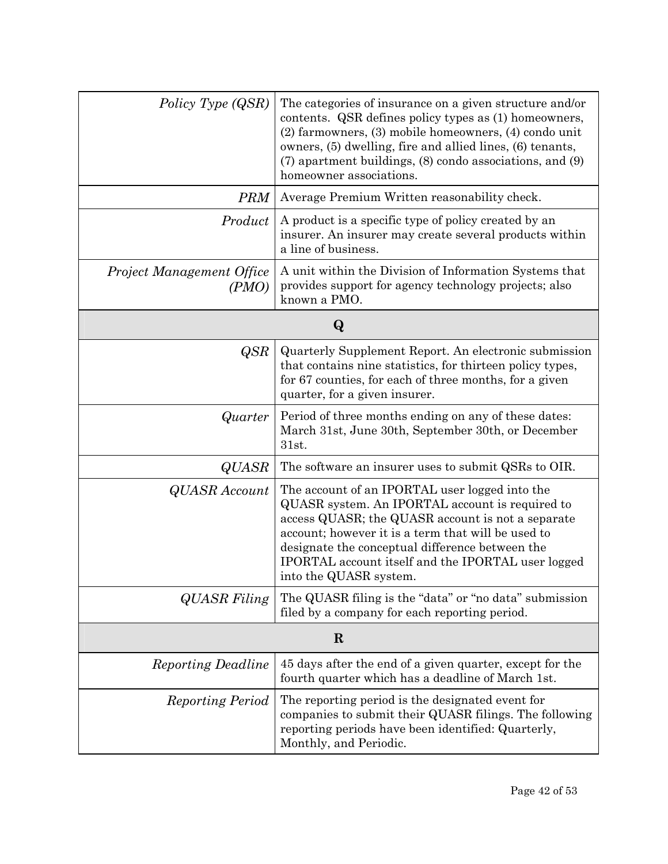| Policy Type (QSR)                  | The categories of insurance on a given structure and/or<br>contents. QSR defines policy types as (1) homeowners,<br>(2) farmowners, (3) mobile homeowners, (4) condo unit<br>owners, (5) dwelling, fire and allied lines, (6) tenants,<br>(7) apartment buildings, (8) condo associations, and (9)<br>homeowner associations.                   |  |
|------------------------------------|-------------------------------------------------------------------------------------------------------------------------------------------------------------------------------------------------------------------------------------------------------------------------------------------------------------------------------------------------|--|
| <b>PRM</b>                         | Average Premium Written reasonability check.                                                                                                                                                                                                                                                                                                    |  |
| Product                            | A product is a specific type of policy created by an<br>insurer. An insurer may create several products within<br>a line of business.                                                                                                                                                                                                           |  |
| Project Management Office<br>(PMO) | A unit within the Division of Information Systems that<br>provides support for agency technology projects; also<br>known a PMO.                                                                                                                                                                                                                 |  |
| $\bf Q$                            |                                                                                                                                                                                                                                                                                                                                                 |  |
| <b>QSR</b>                         | Quarterly Supplement Report. An electronic submission<br>that contains nine statistics, for thirteen policy types,<br>for 67 counties, for each of three months, for a given<br>quarter, for a given insurer.                                                                                                                                   |  |
| Quarter                            | Period of three months ending on any of these dates:<br>March 31st, June 30th, September 30th, or December<br>31st.                                                                                                                                                                                                                             |  |
| <b>QUASR</b>                       | The software an insurer uses to submit QSRs to OIR.                                                                                                                                                                                                                                                                                             |  |
| <b>QUASR</b> Account               | The account of an IPORTAL user logged into the<br>QUASR system. An IPORTAL account is required to<br>access QUASR; the QUASR account is not a separate<br>account; however it is a term that will be used to<br>designate the conceptual difference between the<br>IPORTAL account itself and the IPORTAL user logged<br>into the QUASR system. |  |
| <b>QUASR</b> Filing                | The QUASR filing is the "data" or "no data" submission<br>filed by a company for each reporting period.                                                                                                                                                                                                                                         |  |
| $\bf R$                            |                                                                                                                                                                                                                                                                                                                                                 |  |
| <b>Reporting Deadline</b>          | 45 days after the end of a given quarter, except for the<br>fourth quarter which has a deadline of March 1st.                                                                                                                                                                                                                                   |  |
| <b>Reporting Period</b>            | The reporting period is the designated event for<br>companies to submit their QUASR filings. The following<br>reporting periods have been identified: Quarterly,<br>Monthly, and Periodic.                                                                                                                                                      |  |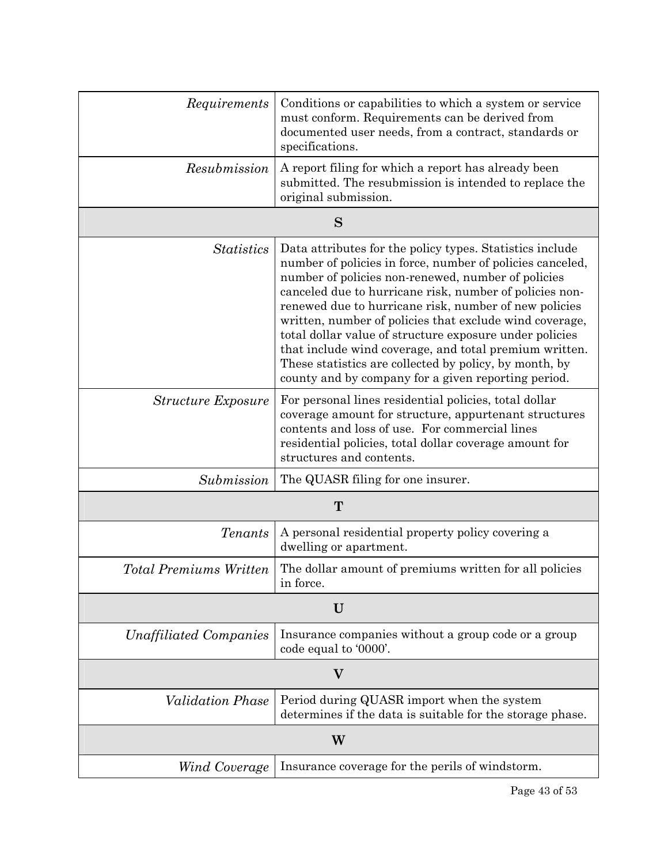| Requirements                  | Conditions or capabilities to which a system or service<br>must conform. Requirements can be derived from<br>documented user needs, from a contract, standards or<br>specifications.                                                                                                                                                                                                                                                                                                                                                                                                             |  |
|-------------------------------|--------------------------------------------------------------------------------------------------------------------------------------------------------------------------------------------------------------------------------------------------------------------------------------------------------------------------------------------------------------------------------------------------------------------------------------------------------------------------------------------------------------------------------------------------------------------------------------------------|--|
| Resubmission                  | A report filing for which a report has already been<br>submitted. The resubmission is intended to replace the<br>original submission.                                                                                                                                                                                                                                                                                                                                                                                                                                                            |  |
|                               | S                                                                                                                                                                                                                                                                                                                                                                                                                                                                                                                                                                                                |  |
| <b>Statistics</b>             | Data attributes for the policy types. Statistics include<br>number of policies in force, number of policies canceled,<br>number of policies non-renewed, number of policies<br>canceled due to hurricane risk, number of policies non-<br>renewed due to hurricane risk, number of new policies<br>written, number of policies that exclude wind coverage,<br>total dollar value of structure exposure under policies<br>that include wind coverage, and total premium written.<br>These statistics are collected by policy, by month, by<br>county and by company for a given reporting period. |  |
| <b>Structure Exposure</b>     | For personal lines residential policies, total dollar<br>coverage amount for structure, appurtenant structures<br>contents and loss of use. For commercial lines<br>residential policies, total dollar coverage amount for<br>structures and contents.                                                                                                                                                                                                                                                                                                                                           |  |
| Submission                    | The QUASR filing for one insurer.                                                                                                                                                                                                                                                                                                                                                                                                                                                                                                                                                                |  |
| T                             |                                                                                                                                                                                                                                                                                                                                                                                                                                                                                                                                                                                                  |  |
| <i>Tenants</i>                | A personal residential property policy covering a<br>dwelling or apartment.                                                                                                                                                                                                                                                                                                                                                                                                                                                                                                                      |  |
| <b>Total Premiums Written</b> | The dollar amount of premiums written for all policies<br>in force.                                                                                                                                                                                                                                                                                                                                                                                                                                                                                                                              |  |
| U                             |                                                                                                                                                                                                                                                                                                                                                                                                                                                                                                                                                                                                  |  |
| Unaffiliated Companies        | Insurance companies without a group code or a group<br>code equal to '0000'.                                                                                                                                                                                                                                                                                                                                                                                                                                                                                                                     |  |
| $\bf V$                       |                                                                                                                                                                                                                                                                                                                                                                                                                                                                                                                                                                                                  |  |
| <i>Validation Phase</i>       | Period during QUASR import when the system<br>determines if the data is suitable for the storage phase.                                                                                                                                                                                                                                                                                                                                                                                                                                                                                          |  |
| W                             |                                                                                                                                                                                                                                                                                                                                                                                                                                                                                                                                                                                                  |  |
| Wind Coverage                 | Insurance coverage for the perils of windstorm.                                                                                                                                                                                                                                                                                                                                                                                                                                                                                                                                                  |  |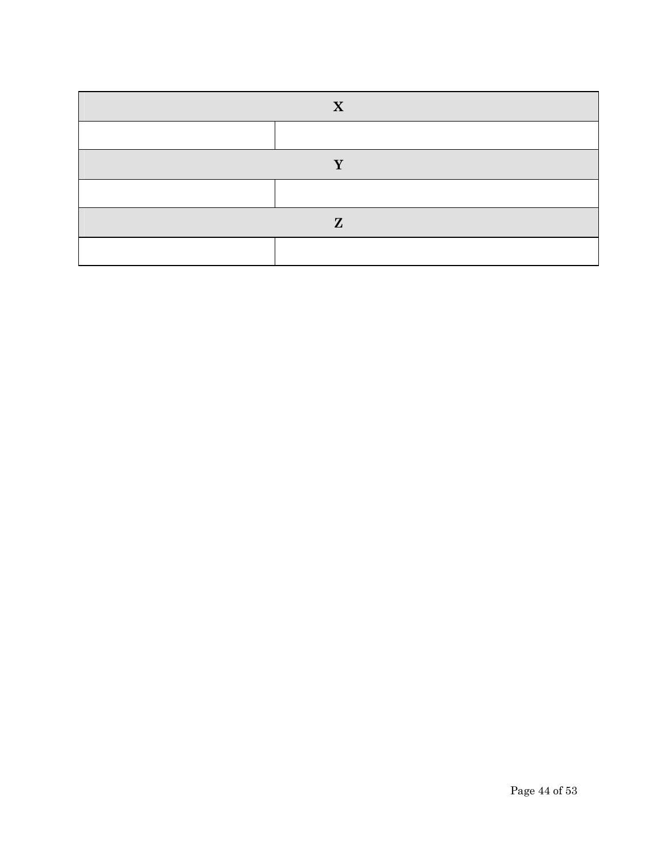| X            |  |
|--------------|--|
|              |  |
| v            |  |
|              |  |
| $\mathbf{Z}$ |  |
|              |  |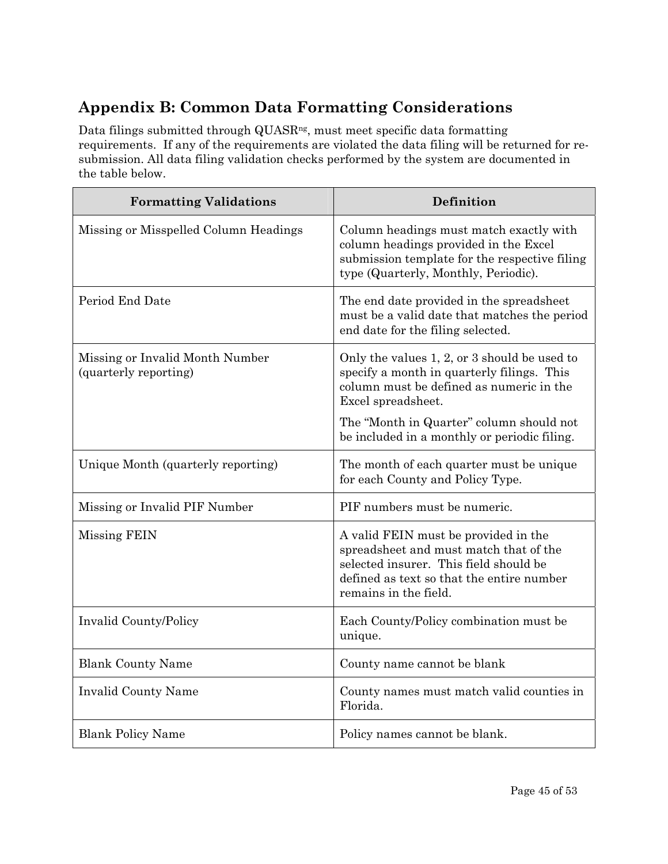## **Appendix B: Common Data Formatting Considerations**

Data filings submitted through QUASR<sup>ng</sup>, must meet specific data formatting requirements. If any of the requirements are violated the data filing will be returned for resubmission. All data filing validation checks performed by the system are documented in the table below.

| <b>Formatting Validations</b>                            | Definition                                                                                                                                                                                     |
|----------------------------------------------------------|------------------------------------------------------------------------------------------------------------------------------------------------------------------------------------------------|
| Missing or Misspelled Column Headings                    | Column headings must match exactly with<br>column headings provided in the Excel<br>submission template for the respective filing<br>type (Quarterly, Monthly, Periodic).                      |
| Period End Date                                          | The end date provided in the spreadsheet<br>must be a valid date that matches the period<br>end date for the filing selected.                                                                  |
| Missing or Invalid Month Number<br>(quarterly reporting) | Only the values 1, 2, or 3 should be used to<br>specify a month in quarterly filings. This<br>column must be defined as numeric in the<br>Excel spreadsheet.                                   |
|                                                          | The "Month in Quarter" column should not<br>be included in a monthly or periodic filing.                                                                                                       |
| Unique Month (quarterly reporting)                       | The month of each quarter must be unique<br>for each County and Policy Type.                                                                                                                   |
| Missing or Invalid PIF Number                            | PIF numbers must be numeric.                                                                                                                                                                   |
| Missing FEIN                                             | A valid FEIN must be provided in the<br>spreadsheet and must match that of the<br>selected insurer. This field should be<br>defined as text so that the entire number<br>remains in the field. |
| <b>Invalid County/Policy</b>                             | Each County/Policy combination must be<br>unique.                                                                                                                                              |
| <b>Blank County Name</b>                                 | County name cannot be blank                                                                                                                                                                    |
| <b>Invalid County Name</b>                               | County names must match valid counties in<br>Florida.                                                                                                                                          |
| <b>Blank Policy Name</b>                                 | Policy names cannot be blank.                                                                                                                                                                  |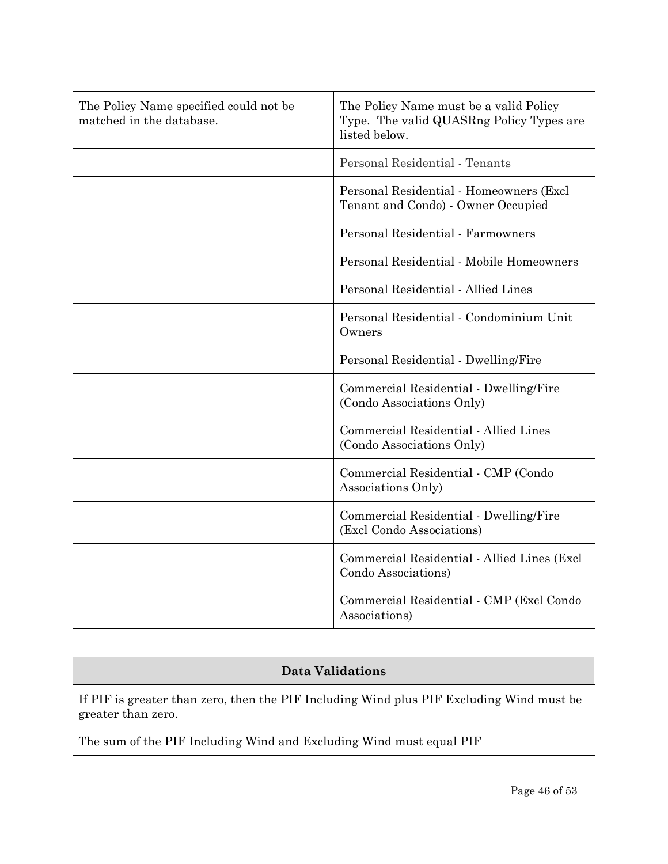| The Policy Name specified could not be<br>matched in the database. | The Policy Name must be a valid Policy<br>Type. The valid QUASRng Policy Types are<br>listed below. |
|--------------------------------------------------------------------|-----------------------------------------------------------------------------------------------------|
|                                                                    | Personal Residential - Tenants                                                                      |
|                                                                    | Personal Residential - Homeowners (Excl<br>Tenant and Condo) - Owner Occupied                       |
|                                                                    | Personal Residential - Farmowners                                                                   |
|                                                                    | Personal Residential - Mobile Homeowners                                                            |
|                                                                    | Personal Residential - Allied Lines                                                                 |
|                                                                    | Personal Residential - Condominium Unit<br>Owners                                                   |
|                                                                    | Personal Residential - Dwelling/Fire                                                                |
|                                                                    | Commercial Residential - Dwelling/Fire<br>(Condo Associations Only)                                 |
|                                                                    | Commercial Residential - Allied Lines<br>(Condo Associations Only)                                  |
|                                                                    | Commercial Residential - CMP (Condo<br>Associations Only)                                           |
|                                                                    | Commercial Residential - Dwelling/Fire<br>(Excl Condo Associations)                                 |
|                                                                    | Commercial Residential - Allied Lines (Excl<br>Condo Associations)                                  |
|                                                                    | Commercial Residential - CMP (Excl Condo<br>Associations)                                           |

#### **Data Validations**

If PIF is greater than zero, then the PIF Including Wind plus PIF Excluding Wind must be greater than zero.

The sum of the PIF Including Wind and Excluding Wind must equal PIF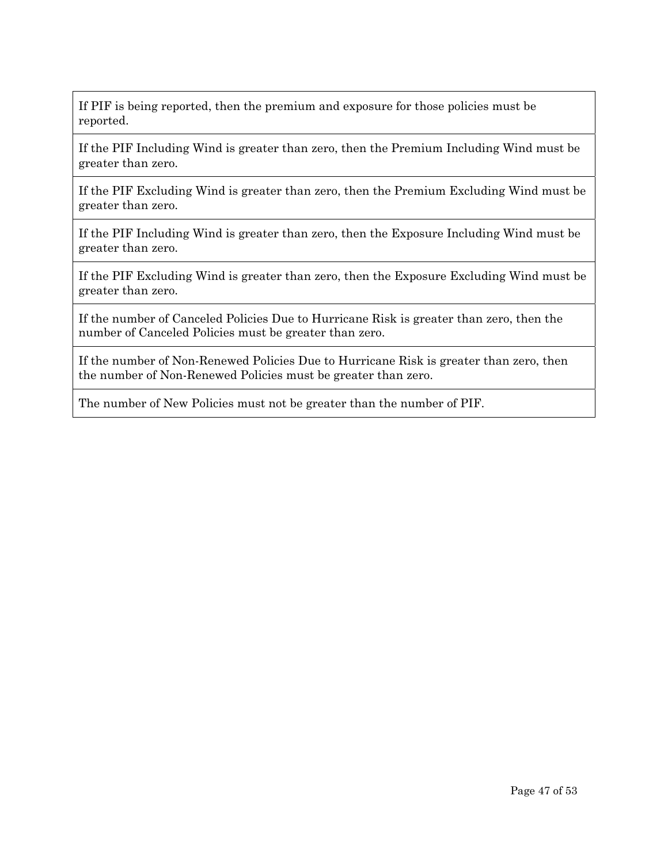If PIF is being reported, then the premium and exposure for those policies must be reported.

If the PIF Including Wind is greater than zero, then the Premium Including Wind must be greater than zero.

If the PIF Excluding Wind is greater than zero, then the Premium Excluding Wind must be greater than zero.

If the PIF Including Wind is greater than zero, then the Exposure Including Wind must be greater than zero.

If the PIF Excluding Wind is greater than zero, then the Exposure Excluding Wind must be greater than zero.

If the number of Canceled Policies Due to Hurricane Risk is greater than zero, then the number of Canceled Policies must be greater than zero.

If the number of Non-Renewed Policies Due to Hurricane Risk is greater than zero, then the number of Non-Renewed Policies must be greater than zero.

The number of New Policies must not be greater than the number of PIF.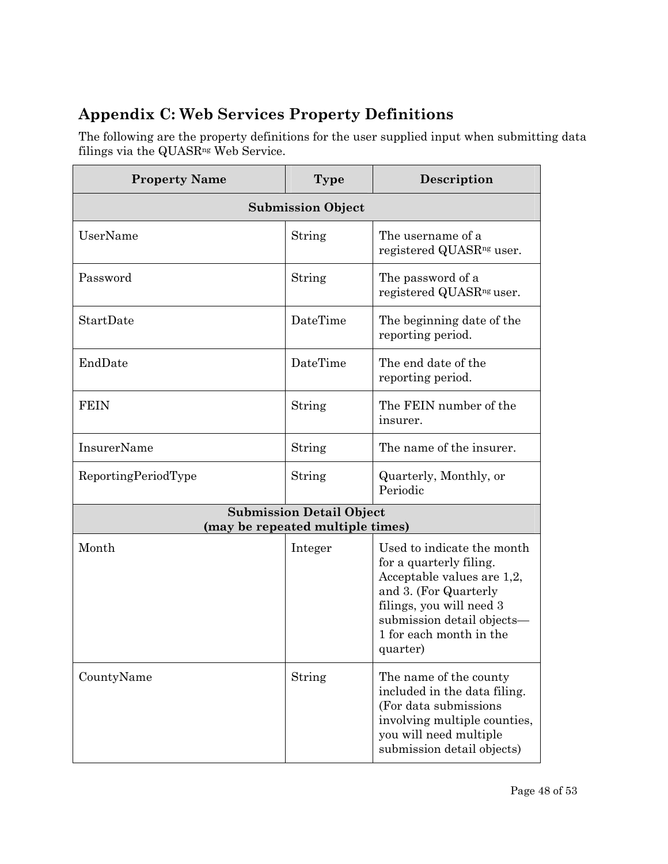## **Appendix C: Web Services Property Definitions**

The following are the property definitions for the user supplied input when submitting data filings via the QUASR<sup>ng</sup> Web Service.

| <b>Property Name</b> | <b>Type</b>                                                         | Description                                                                                                                                                                                                   |  |  |
|----------------------|---------------------------------------------------------------------|---------------------------------------------------------------------------------------------------------------------------------------------------------------------------------------------------------------|--|--|
|                      | <b>Submission Object</b>                                            |                                                                                                                                                                                                               |  |  |
| UserName             | String                                                              | The username of a<br>registered QUASR <sup>ng</sup> user.                                                                                                                                                     |  |  |
| Password             | String                                                              | The password of a<br>registered QUASR <sup>ng</sup> user.                                                                                                                                                     |  |  |
| StartDate            | DateTime                                                            | The beginning date of the<br>reporting period.                                                                                                                                                                |  |  |
| EndDate              | DateTime                                                            | The end date of the<br>reporting period.                                                                                                                                                                      |  |  |
| <b>FEIN</b>          | String                                                              | The FEIN number of the<br>insurer.                                                                                                                                                                            |  |  |
| InsurerName          | String                                                              | The name of the insurer.                                                                                                                                                                                      |  |  |
| ReportingPeriodType  | String                                                              | Quarterly, Monthly, or<br>Periodic                                                                                                                                                                            |  |  |
|                      | <b>Submission Detail Object</b><br>(may be repeated multiple times) |                                                                                                                                                                                                               |  |  |
| Month                | Integer                                                             | Used to indicate the month<br>for a quarterly filing.<br>Acceptable values are 1,2,<br>and 3. (For Quarterly<br>filings, you will need 3<br>submission detail objects-<br>1 for each month in the<br>quarter) |  |  |
| CountyName           | String                                                              | The name of the county<br>included in the data filing.<br>(For data submissions)<br>involving multiple counties,<br>you will need multiple<br>submission detail objects)                                      |  |  |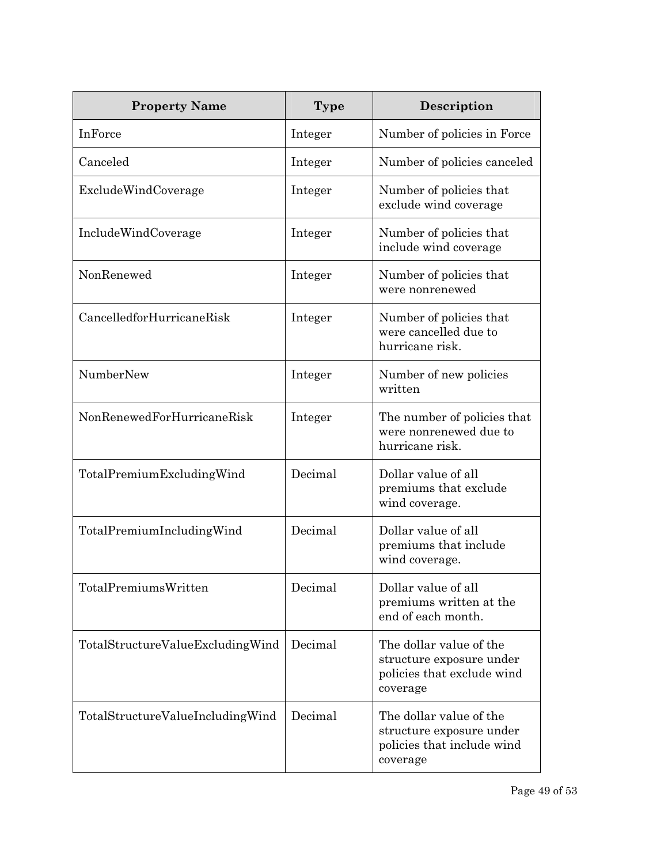| <b>Property Name</b>             | <b>Type</b> | Description                                                                                   |
|----------------------------------|-------------|-----------------------------------------------------------------------------------------------|
| <b>InForce</b>                   | Integer     | Number of policies in Force                                                                   |
| Canceled                         | Integer     | Number of policies canceled                                                                   |
| ExcludeWindCoverage              | Integer     | Number of policies that<br>exclude wind coverage                                              |
| IncludeWindCoverage              | Integer     | Number of policies that<br>include wind coverage                                              |
| NonRenewed                       | Integer     | Number of policies that<br>were nonrenewed                                                    |
| CancelledforHurricaneRisk        | Integer     | Number of policies that<br>were cancelled due to<br>hurricane risk.                           |
| NumberNew                        | Integer     | Number of new policies<br>written                                                             |
| NonRenewedForHurricaneRisk       | Integer     | The number of policies that<br>were nonrenewed due to<br>hurricane risk.                      |
| TotalPremiumExcludingWind        | Decimal     | Dollar value of all<br>premiums that exclude<br>wind coverage.                                |
| TotalPremiumIncludingWind        | Decimal     | Dollar value of all<br>premiums that include<br>wind coverage.                                |
| TotalPremiumsWritten             | Decimal     | Dollar value of all<br>premiums written at the<br>end of each month.                          |
| TotalStructureValueExcludingWind | Decimal     | The dollar value of the<br>structure exposure under<br>policies that exclude wind<br>coverage |
| TotalStructureValueIncludingWind | Decimal     | The dollar value of the<br>structure exposure under<br>policies that include wind<br>coverage |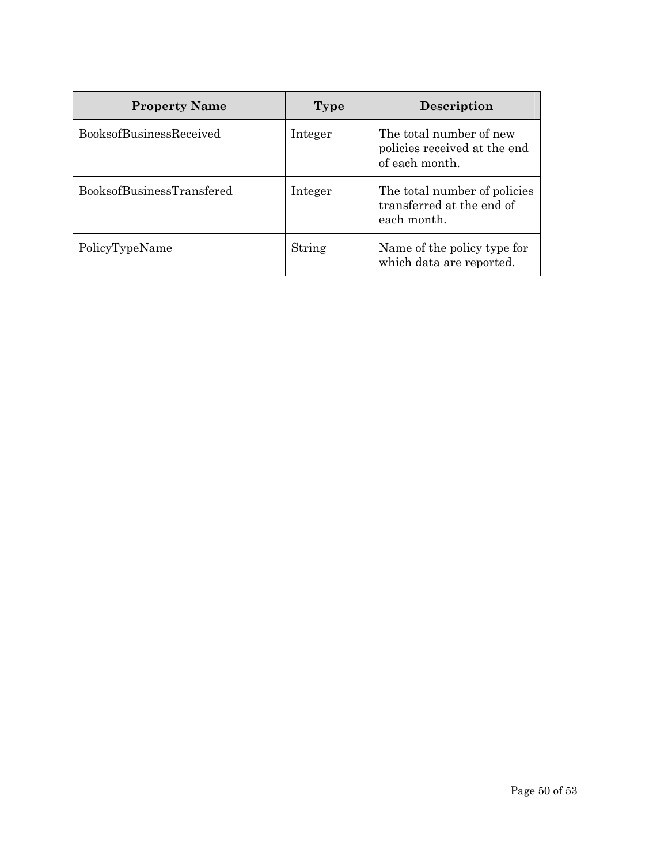| <b>Property Name</b>             | Type    | Description                                                               |
|----------------------------------|---------|---------------------------------------------------------------------------|
| <b>BooksofBusinessReceived</b>   | Integer | The total number of new<br>policies received at the end<br>of each month. |
| <b>BooksofBusinessTransfered</b> | Integer | The total number of policies<br>transferred at the end of<br>each month.  |
| PolicyTypeName                   | String  | Name of the policy type for<br>which data are reported.                   |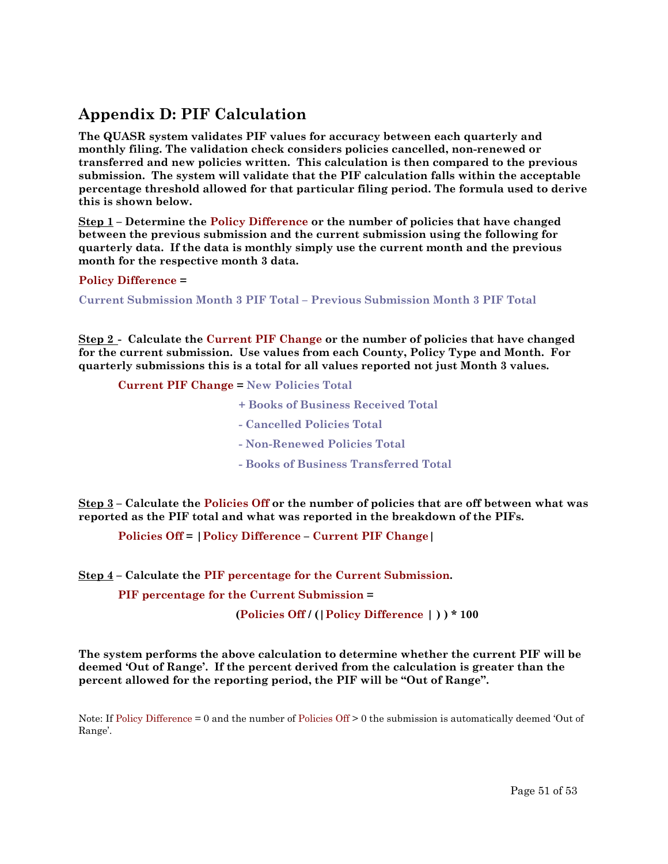### **Appendix D: PIF Calculation**

**The QUASR system validates PIF values for accuracy between each quarterly and monthly filing. The validation check considers policies cancelled, non-renewed or transferred and new policies written. This calculation is then compared to the previous submission. The system will validate that the PIF calculation falls within the acceptable percentage threshold allowed for that particular filing period. The formula used to derive this is shown below.** 

**Step 1 – Determine the Policy Difference or the number of policies that have changed between the previous submission and the current submission using the following for quarterly data. If the data is monthly simply use the current month and the previous month for the respective month 3 data.** 

#### **Policy Difference =**

**Current Submission Month 3 PIF Total – Previous Submission Month 3 PIF Total** 

**Step 2 - Calculate the Current PIF Change or the number of policies that have changed for the current submission. Use values from each County, Policy Type and Month. For quarterly submissions this is a total for all values reported not just Month 3 values.** 

**Current PIF Change = New Policies Total** 

- **+ Books of Business Received Total**
- **Cancelled Policies Total**
- **Non-Renewed Policies Total**
- **Books of Business Transferred Total**

**Step 3 – Calculate the Policies Off or the number of policies that are off between what was reported as the PIF total and what was reported in the breakdown of the PIFs.** 

**Policies Off = |Policy Difference – Current PIF Change|** 

**Step 4 – Calculate the PIF percentage for the Current Submission.** 

**PIF percentage for the Current Submission =** 

**(Policies Off / (|Policy Difference | ) ) \* 100** 

**The system performs the above calculation to determine whether the current PIF will be deemed 'Out of Range'. If the percent derived from the calculation is greater than the percent allowed for the reporting period, the PIF will be "Out of Range".** 

Note: If Policy Difference = 0 and the number of Policies Off > 0 the submission is automatically deemed 'Out of Range'.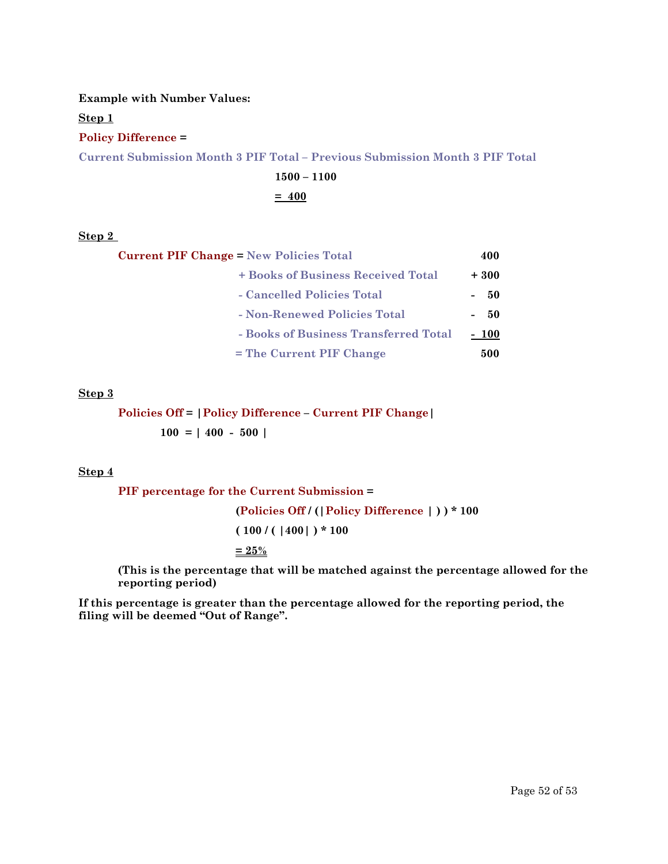#### **Example with Number Values:**

**Step 1** 

#### **Policy Difference =**

**Current Submission Month 3 PIF Total – Previous Submission Month 3 PIF Total** 

### **1500 – 1100**

**= 400**

#### **Step 2**

| <b>Current PIF Change = New Policies Total</b> | 400    |
|------------------------------------------------|--------|
| + Books of Business Received Total             | $+300$ |
| - Cancelled Policies Total                     | - 50   |
| - Non-Renewed Policies Total                   | - 50   |
| - Books of Business Transferred Total          | $-100$ |
| = The Current PIF Change                       | 500    |

#### **Step 3**

### **Policies Off = |Policy Difference – Current PIF Change|**   $100 = | 400 - 500 |$

#### **Step 4**

**PIF percentage for the Current Submission =** 

**(Policies Off / (|Policy Difference | ) ) \* 100 ( 100 / ( |400| ) \* 100 = 25%** 

**(This is the percentage that will be matched against the percentage allowed for the reporting period)** 

**If this percentage is greater than the percentage allowed for the reporting period, the filing will be deemed "Out of Range".**